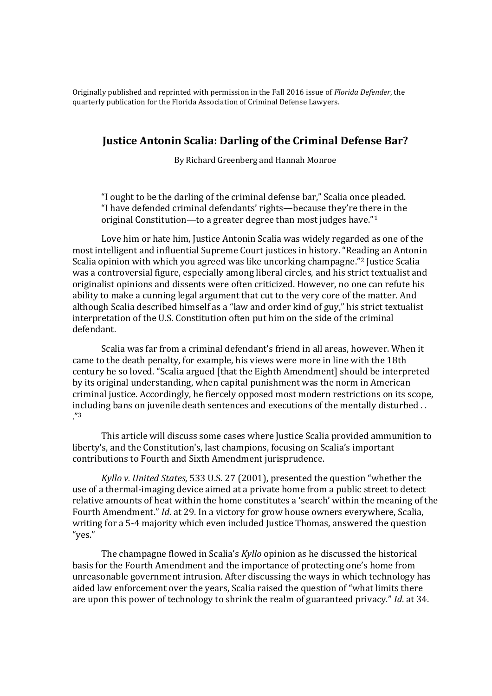Originally published and reprinted with permission in the Fall 2016 issue of *Florida Defender*, the quarterly publication for the Florida Association of Criminal Defense Lawyers.

# **Justice Antonin Scalia: Darling of the Criminal Defense Bar?**

By Richard Greenberg and Hannah Monroe

"I ought to be the darling of the criminal defense bar," Scalia once pleaded. "I have defended criminal defendants' rights—because they're there in the original Constitution—to a greater degree than most judges have."<sup>1</sup>

Love him or hate him, Justice Antonin Scalia was widely regarded as one of the most intelligent and influential Supreme Court justices in history. "Reading an Antonin Scalia opinion with which you agreed was like uncorking champagne."<sup>2</sup> Justice Scalia was a controversial figure, especially among liberal circles, and his strict textualist and originalist opinions and dissents were often criticized. However, no one can refute his ability to make a cunning legal argument that cut to the very core of the matter. And although Scalia described himself as a "law and order kind of guy," his strict textualist interpretation of the U.S. Constitution often put him on the side of the criminal defendant.

Scalia was far from a criminal defendant's friend in all areas, however. When it came to the death penalty, for example, his views were more in line with the 18th century he so loved. "Scalia argued [that the Eighth Amendment] should be interpreted by its original understanding, when capital punishment was the norm in American criminal justice. Accordingly, he fiercely opposed most modern restrictions on its scope, including bans on juvenile death sentences and executions of the mentally disturbed . . ."3

This article will discuss some cases where Justice Scalia provided ammunition to liberty's, and the Constitution's, last champions, focusing on Scalia's important contributions to Fourth and Sixth Amendment jurisprudence.

*Kyllo v. United States*, 533 U.S. 27 (2001), presented the question "whether the use of a thermal-imaging device aimed at a private home from a public street to detect relative amounts of heat within the home constitutes a 'search' within the meaning of the Fourth Amendment." *Id*. at 29. In a victory for grow house owners everywhere, Scalia, writing for a 5-4 majority which even included Justice Thomas, answered the question "yes."

The champagne flowed in Scalia's *Kyllo* opinion as he discussed the historical basis for the Fourth Amendment and the importance of protecting one's home from unreasonable government intrusion. After discussing the ways in which technology has aided law enforcement over the years, Scalia raised the question of "what limits there are upon this power of technology to shrink the realm of guaranteed privacy." *Id*. at 34.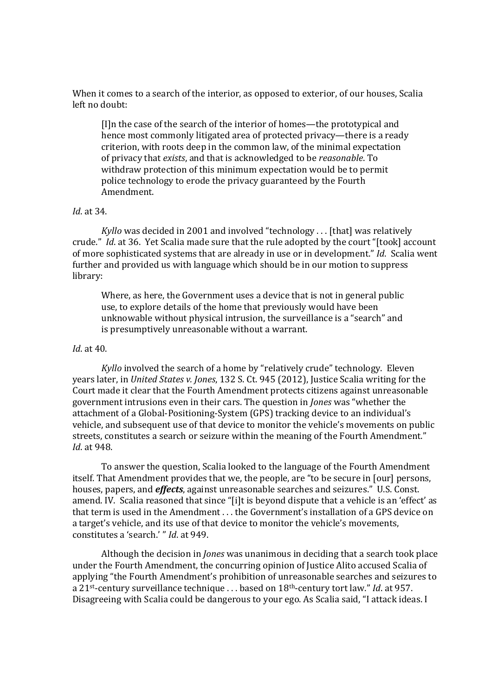When it comes to a search of the interior, as opposed to exterior, of our houses, Scalia left no doubt:

[I]n the case of the search of the interior of homes—the prototypical and hence most commonly litigated area of protected privacy—there is a ready criterion, with roots deep in the common law, of the minimal expectation of privacy that *exists*, and that is acknowledged to be *reasonable*. To withdraw protection of this minimum expectation would be to permit police technology to erode the privacy guaranteed by the Fourth Amendment.

### *Id*. at 34.

*Kyllo* was decided in 2001 and involved "technology . . . [that] was relatively crude." *Id*. at 36. Yet Scalia made sure that the rule adopted by the court "[took] account of more sophisticated systems that are already in use or in development." *Id*. Scalia went further and provided us with language which should be in our motion to suppress library:

Where, as here, the Government uses a device that is not in general public use, to explore details of the home that previously would have been unknowable without physical intrusion, the surveillance is a "search" and is presumptively unreasonable without a warrant.

## *Id*. at 40.

*Kyllo* involved the search of a home by "relatively crude" technology. Eleven years later, in *United States v. Jones*, 132 S. Ct. 945 (2012), Justice Scalia writing for the Court made it clear that the Fourth Amendment protects citizens against unreasonable government intrusions even in their cars. The question in *Jones* was "whether the attachment of a Global-Positioning-System (GPS) tracking device to an individual's vehicle, and subsequent use of that device to monitor the vehicle's movements on public streets, constitutes a search or seizure within the meaning of the Fourth Amendment." *Id*. at 948.

To answer the question, Scalia looked to the language of the Fourth Amendment itself. That Amendment provides that we, the people, are "to be secure in [our] persons, houses, papers, and *effects*, against unreasonable searches and seizures." U.S. Const. amend. IV. Scalia reasoned that since "[i]t is beyond dispute that a vehicle is an 'effect' as that term is used in the Amendment . . . the Government's installation of a GPS device on a target's vehicle, and its use of that device to monitor the vehicle's movements, constitutes a 'search.' " *Id*. at 949.

Although the decision in *Jones* was unanimous in deciding that a search took place under the Fourth Amendment, the concurring opinion of Justice Alito accused Scalia of applying "the Fourth Amendment's prohibition of unreasonable searches and seizures to a 21st-century surveillance technique . . . based on 18th-century tort law." *Id*. at 957. Disagreeing with Scalia could be dangerous to your ego. As Scalia said, "I attack ideas. I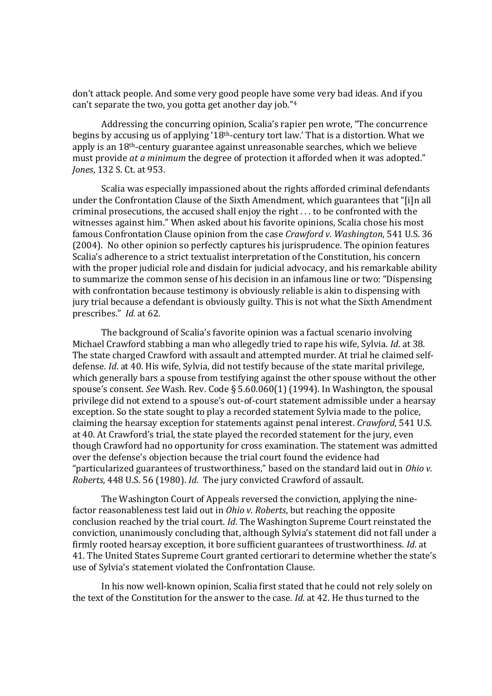don't attack people. And some very good people have some very bad ideas. And if you can't separate the two, you gotta get another day job."<sup>4</sup>

Addressing the concurring opinion, Scalia's rapier pen wrote, "The concurrence begins by accusing us of applying '18th-century tort law.' That is a distortion. What we apply is an 18th-century guarantee against unreasonable searches, which we believe must provide *at a minimum* the degree of protection it afforded when it was adopted." *Jones*, 132 S. Ct. at 953.

Scalia was especially impassioned about the rights afforded criminal defendants under the Confrontation Clause of the Sixth Amendment, which guarantees that "[i]n all criminal prosecutions, the accused shall enjoy the right . . . to be confronted with the witnesses against him." When asked about his favorite opinions, Scalia chose his most famous Confrontation Clause opinion from the case *Crawford v. Washington*, 541 U.S. 36 (2004). No other opinion so perfectly captures his jurisprudence. The opinion features Scalia's adherence to a strict textualist interpretation of the Constitution, his concern with the proper judicial role and disdain for judicial advocacy, and his remarkable ability to summarize the common sense of his decision in an infamous line or two: "Dispensing with confrontation because testimony is obviously reliable is akin to dispensing with jury trial because a defendant is obviously guilty. This is not what the Sixth Amendment prescribes." *Id.* at 62.

The background of Scalia's favorite opinion was a factual scenario involving Michael Crawford stabbing a man who allegedly tried to rape his wife, Sylvia. *Id*. at 38. The state charged Crawford with assault and attempted murder. At trial he claimed selfdefense. *Id*. at 40. His wife, Sylvia, did not testify because of the state marital privilege, which generally bars a spouse from testifying against the other spouse without the other spouse's consent. *See* Wash. Rev. Code § 5.60.060(1) (1994). In Washington, the spousal privilege did not extend to a spouse's out-of-court statement admissible under a hearsay exception. So the state sought to play a recorded statement Sylvia made to the police, claiming the hearsay exception for statements against penal interest. *Crawford*, 541 U.S. at 40. At Crawford's trial, the state played the recorded statement for the jury, even though Crawford had no opportunity for cross examination. The statement was admitted over the defense's objection because the trial court found the evidence had "particularized guarantees of trustworthiness," based on the standard laid out in *Ohio v. Roberts*, 448 U.S. 56 (1980). *Id*. The jury convicted Crawford of assault.

The Washington Court of Appeals reversed the conviction, applying the ninefactor reasonableness test laid out in *Ohio v. Roberts*, but reaching the opposite conclusion reached by the trial court. *Id*. The Washington Supreme Court reinstated the conviction, unanimously concluding that, although Sylvia's statement did not fall under a firmly rooted hearsay exception, it bore sufficient guarantees of trustworthiness. *Id*. at 41. The United States Supreme Court granted certiorari to determine whether the state's use of Sylvia's statement violated the Confrontation Clause.

In his now well-known opinion, Scalia first stated that he could not rely solely on the text of the Constitution for the answer to the case. *Id*. at 42. He thus turned to the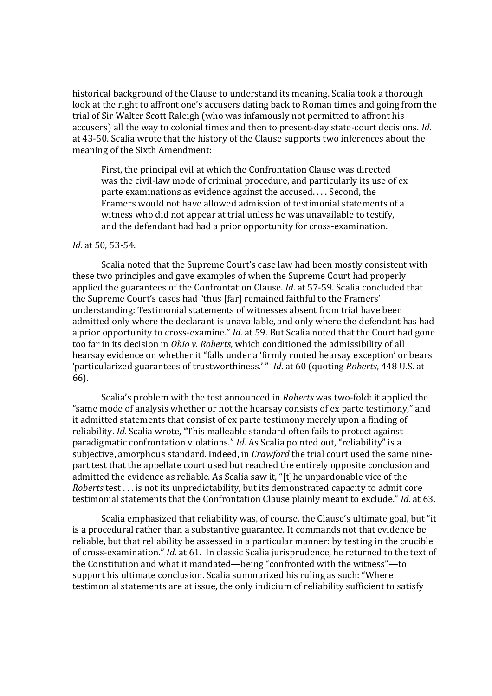historical background of the Clause to understand its meaning. Scalia took a thorough look at the right to affront one's accusers dating back to Roman times and going from the trial of Sir Walter Scott Raleigh (who was infamously not permitted to affront his accusers) all the way to colonial times and then to present-day state-court decisions. *Id*. at 43-50. Scalia wrote that the history of the Clause supports two inferences about the meaning of the Sixth Amendment:

First, the principal evil at which the Confrontation Clause was directed was the civil-law mode of criminal procedure, and particularly its use of ex parte examinations as evidence against the accused. . . . Second, the Framers would not have allowed admission of testimonial statements of a witness who did not appear at trial unless he was unavailable to testify, and the defendant had had a prior opportunity for cross-examination.

#### *Id*. at 50, 53-54.

Scalia noted that the Supreme Court's case law had been mostly consistent with these two principles and gave examples of when the Supreme Court had properly applied the guarantees of the Confrontation Clause. *Id*. at 57-59. Scalia concluded that the Supreme Court's cases had "thus [far] remained faithful to the Framers' understanding: Testimonial statements of witnesses absent from trial have been admitted only where the declarant is unavailable, and only where the defendant has had a prior opportunity to cross-examine." *Id*. at 59. But Scalia noted that the Court had gone too far in its decision in *Ohio v. Roberts*, which conditioned the admissibility of all hearsay evidence on whether it "falls under a 'firmly rooted hearsay exception' or bears 'particularized guarantees of trustworthiness.' " *Id*. at 60 (quoting *Roberts*, 448 U.S. at 66).

Scalia's problem with the test announced in *Roberts* was two-fold: it applied the "same mode of analysis whether or not the hearsay consists of ex parte testimony," and it admitted statements that consist of ex parte testimony merely upon a finding of reliability. *Id.* Scalia wrote, "This malleable standard often fails to protect against paradigmatic confrontation violations." *Id*. As Scalia pointed out, "reliability" is a subjective, amorphous standard. Indeed, in *Crawford* the trial court used the same ninepart test that the appellate court used but reached the entirely opposite conclusion and admitted the evidence as reliable. As Scalia saw it, "[t]he unpardonable vice of the *Roberts* test . . . is not its unpredictability, but its demonstrated capacity to admit core testimonial statements that the Confrontation Clause plainly meant to exclude." *Id*. at 63.

Scalia emphasized that reliability was, of course, the Clause's ultimate goal, but "it is a procedural rather than a substantive guarantee. It commands not that evidence be reliable, but that reliability be assessed in a particular manner: by testing in the crucible of cross-examination." *Id*. at 61. In classic Scalia jurisprudence, he returned to the text of the Constitution and what it mandated—being "confronted with the witness"—to support his ultimate conclusion. Scalia summarized his ruling as such: "Where testimonial statements are at issue, the only indicium of reliability sufficient to satisfy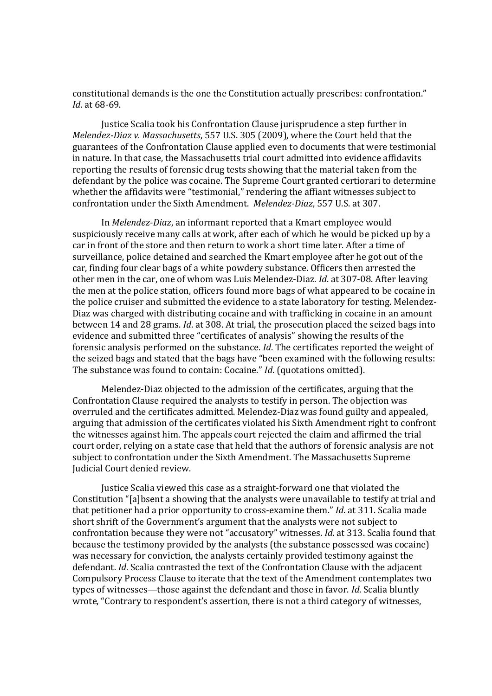constitutional demands is the one the Constitution actually prescribes: confrontation." *Id*. at 68-69.

Justice Scalia took his Confrontation Clause jurisprudence a step further in *Melendez-Diaz v. Massachusetts*, 557 U.S. 305 (2009), where the Court held that the guarantees of the Confrontation Clause applied even to documents that were testimonial in nature. In that case, the Massachusetts trial court admitted into evidence affidavits reporting the results of forensic drug tests showing that the material taken from the defendant by the police was cocaine. The Supreme Court granted certiorari to determine whether the affidavits were "testimonial," rendering the affiant witnesses subject to confrontation under the Sixth Amendment. *Melendez-Diaz*, 557 U.S. at 307.

In *Melendez-Diaz*, an informant reported that a Kmart employee would suspiciously receive many calls at work, after each of which he would be picked up by a car in front of the store and then return to work a short time later. After a time of surveillance, police detained and searched the Kmart employee after he got out of the car, finding four clear bags of a white powdery substance. Officers then arrested the other men in the car, one of whom was Luis Melendez-Diaz. *Id*. at 307-08. After leaving the men at the police station, officers found more bags of what appeared to be cocaine in the police cruiser and submitted the evidence to a state laboratory for testing. Melendez-Diaz was charged with distributing cocaine and with trafficking in cocaine in an amount between 14 and 28 grams. *Id*. at 308. At trial, the prosecution placed the seized bags into evidence and submitted three "certificates of analysis" showing the results of the forensic analysis performed on the substance. *Id*. The certificates reported the weight of the seized bags and stated that the bags have "been examined with the following results: The substance was found to contain: Cocaine." *Id*. (quotations omitted).

Melendez-Diaz objected to the admission of the certificates, arguing that the Confrontation Clause required the analysts to testify in person. The objection was overruled and the certificates admitted. Melendez-Diaz was found guilty and appealed, arguing that admission of the certificates violated his Sixth Amendment right to confront the witnesses against him. The appeals court rejected the claim and affirmed the trial court order, relying on a state case that held that the authors of forensic analysis are not subject to confrontation under the Sixth Amendment. The Massachusetts Supreme Judicial Court denied review.

Justice Scalia viewed this case as a straight-forward one that violated the Constitution "[a]bsent a showing that the analysts were unavailable to testify at trial and that petitioner had a prior opportunity to cross-examine them." *Id*. at 311. Scalia made short shrift of the Government's argument that the analysts were not subject to confrontation because they were not "accusatory" witnesses. *Id*. at 313. Scalia found that because the testimony provided by the analysts (the substance possessed was cocaine) was necessary for conviction, the analysts certainly provided testimony against the defendant. *Id*. Scalia contrasted the text of the Confrontation Clause with the adjacent Compulsory Process Clause to iterate that the text of the Amendment contemplates two types of witnesses—those against the defendant and those in favor. *Id*. Scalia bluntly wrote, "Contrary to respondent's assertion, there is not a third category of witnesses,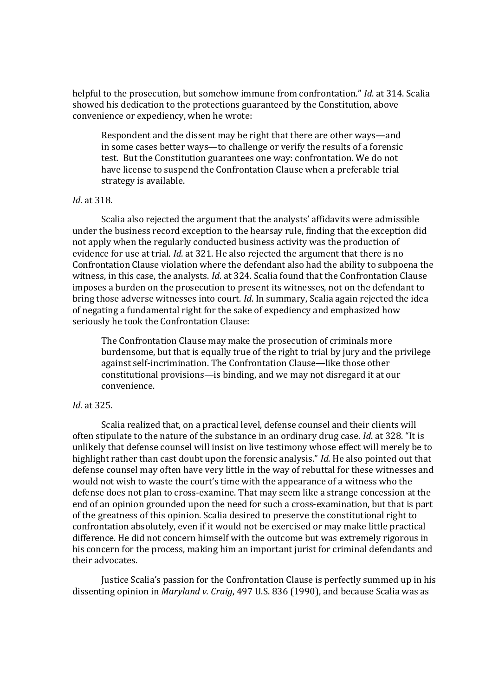helpful to the prosecution, but somehow immune from confrontation." *Id*. at 314. Scalia showed his dedication to the protections guaranteed by the Constitution, above convenience or expediency, when he wrote:

Respondent and the dissent may be right that there are other ways—and in some cases better ways—to challenge or verify the results of a forensic test. But the Constitution guarantees one way: confrontation. We do not have license to suspend the Confrontation Clause when a preferable trial strategy is available.

### *Id*. at 318.

Scalia also rejected the argument that the analysts' affidavits were admissible under the business record exception to the hearsay rule, finding that the exception did not apply when the regularly conducted business activity was the production of evidence for use at trial. *Id*. at 321. He also rejected the argument that there is no Confrontation Clause violation where the defendant also had the ability to subpoena the witness, in this case, the analysts. *Id*. at 324. Scalia found that the Confrontation Clause imposes a burden on the prosecution to present its witnesses, not on the defendant to bring those adverse witnesses into court. *Id*. In summary, Scalia again rejected the idea of negating a fundamental right for the sake of expediency and emphasized how seriously he took the Confrontation Clause:

The Confrontation Clause may make the prosecution of criminals more burdensome, but that is equally true of the right to trial by jury and the privilege against self-incrimination. The Confrontation Clause—like those other constitutional provisions—is binding, and we may not disregard it at our convenience.

# *Id*. at 325.

Scalia realized that, on a practical level, defense counsel and their clients will often stipulate to the nature of the substance in an ordinary drug case. *Id*. at 328. "It is unlikely that defense counsel will insist on live testimony whose effect will merely be to highlight rather than cast doubt upon the forensic analysis." *Id*. He also pointed out that defense counsel may often have very little in the way of rebuttal for these witnesses and would not wish to waste the court's time with the appearance of a witness who the defense does not plan to cross-examine. That may seem like a strange concession at the end of an opinion grounded upon the need for such a cross-examination, but that is part of the greatness of this opinion. Scalia desired to preserve the constitutional right to confrontation absolutely, even if it would not be exercised or may make little practical difference. He did not concern himself with the outcome but was extremely rigorous in his concern for the process, making him an important jurist for criminal defendants and their advocates.

Justice Scalia's passion for the Confrontation Clause is perfectly summed up in his dissenting opinion in *Maryland v. Craig*, 497 U.S. 836 (1990), and because Scalia was as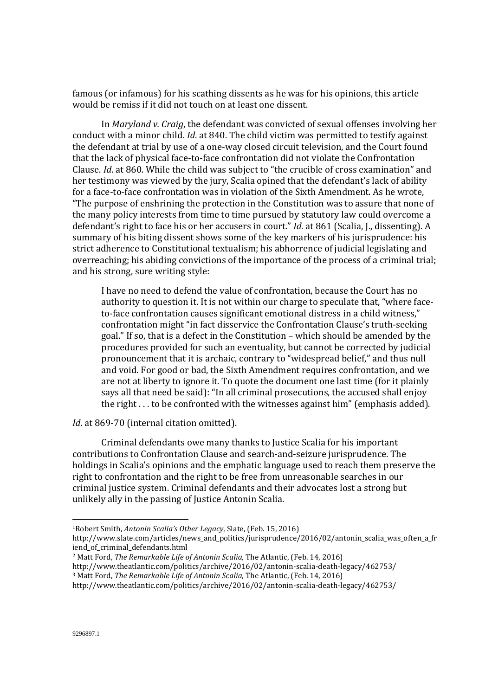famous (or infamous) for his scathing dissents as he was for his opinions, this article would be remiss if it did not touch on at least one dissent.

In *Maryland v. Craig*, the defendant was convicted of sexual offenses involving her conduct with a minor child. *Id*. at 840. The child victim was permitted to testify against the defendant at trial by use of a one-way closed circuit television, and the Court found that the lack of physical face-to-face confrontation did not violate the Confrontation Clause. *Id*. at 860. While the child was subject to "the crucible of cross examination" and her testimony was viewed by the jury, Scalia opined that the defendant's lack of ability for a face-to-face confrontation was in violation of the Sixth Amendment. As he wrote, "The purpose of enshrining the protection in the Constitution was to assure that none of the many policy interests from time to time pursued by statutory law could overcome a defendant's right to face his or her accusers in court." *Id*. at 861 (Scalia, J., dissenting). A summary of his biting dissent shows some of the key markers of his jurisprudence: his strict adherence to Constitutional textualism; his abhorrence of judicial legislating and overreaching; his abiding convictions of the importance of the process of a criminal trial; and his strong, sure writing style:

I have no need to defend the value of confrontation, because the Court has no authority to question it. It is not within our charge to speculate that, "where faceto-face confrontation causes significant emotional distress in a child witness," confrontation might "in fact disservice the Confrontation Clause's truth-seeking goal." If so, that is a defect in the Constitution – which should be amended by the procedures provided for such an eventuality, but cannot be corrected by judicial pronouncement that it is archaic, contrary to "widespread belief," and thus null and void. For good or bad, the Sixth Amendment requires confrontation, and we are not at liberty to ignore it. To quote the document one last time (for it plainly says all that need be said): "In all criminal prosecutions, the accused shall enjoy the right . . . to be confronted with the witnesses against him" (emphasis added).

# *Id*. at 869-70 (internal citation omitted).

Criminal defendants owe many thanks to Justice Scalia for his important contributions to Confrontation Clause and search-and-seizure jurisprudence. The holdings in Scalia's opinions and the emphatic language used to reach them preserve the right to confrontation and the right to be free from unreasonable searches in our criminal justice system. Criminal defendants and their advocates lost a strong but unlikely ally in the passing of Justice Antonin Scalia.

<sup>1</sup>Robert Smith, *Antonin Scalia's Other Legacy*, Slate, (Feb. 15, 2016)

http://www.slate.com/articles/news\_and\_politics/jurisprudence/2016/02/antonin\_scalia\_was\_often\_a\_fr iend\_of\_criminal\_defendants.html

<sup>2</sup> Matt Ford, *The Remarkable Life of Antonin Scalia,* The Atlantic, (Feb. 14, 2016)

http://www.theatlantic.com/politics/archive/2016/02/antonin-scalia-death-legacy/462753/

<sup>3</sup> Matt Ford, *The Remarkable Life of Antonin Scalia,* The Atlantic, (Feb. 14, 2016)

http://www.theatlantic.com/politics/archive/2016/02/antonin-scalia-death-legacy/462753/